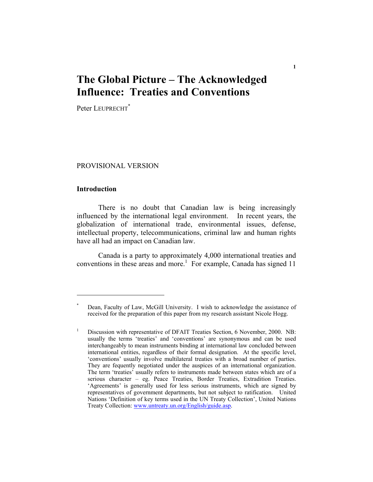# **The Global Picture – The Acknowledged Influence: Treaties and Conventions**

**1** 

Peter LEUPRECHT<sup>\*</sup>

#### PROVISIONAL VERSION

#### **Introduction**

1

 There is no doubt that Canadian law is being increasingly influenced by the international legal environment. In recent years, the globalization of international trade, environmental issues, defense, intellectual property, telecommunications, criminal law and human rights have all had an impact on Canadian law.

 Canada is a party to approximately 4,000 international treaties and conventions in these areas and more.<sup>1</sup> For example, Canada has signed 11

<sup>\*</sup> Dean, Faculty of Law, McGill University. I wish to acknowledge the assistance of received for the preparation of this paper from my research assistant Nicole Hogg.

Discussion with representative of DFAIT Treaties Section, 6 November, 2000. NB: usually the terms 'treaties' and 'conventions' are synonymous and can be used interchangeably to mean instruments binding at international law concluded between international entities, regardless of their formal designation. At the specific level, 'conventions' usually involve multilateral treaties with a broad number of parties. They are fequently negotiated under the auspices of an international organization. The term 'treaties' usually refers to instruments made between states which are of a serious character – eg. Peace Treaties, Border Treaties, Extradition Treaties. 'Agreements' is generally used for less serious instruments, which are signed by representatives of government departments, but not subject to ratification. United Nations 'Definition of key terms used in the UN Treaty Collection', United Nations Treaty Collection: www.untreaty.un.org/English/guide.asp.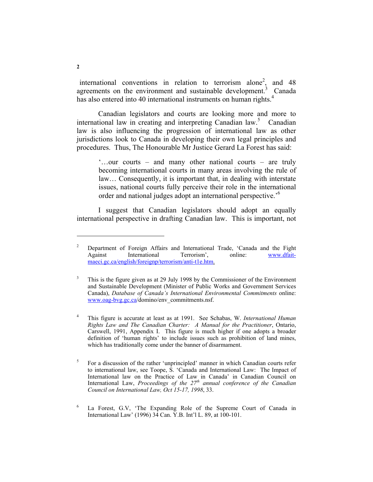international conventions in relation to terrorism alone<sup>2</sup>, and 48 agreements on the environment and sustainable development.<sup>3</sup> Canada has also entered into 40 international instruments on human rights.<sup>4</sup>

 Canadian legislators and courts are looking more and more to international law in creating and interpreting Canadian law.<sup>5</sup> Canadian law is also influencing the progression of international law as other jurisdictions look to Canada in developing their own legal principles and procedures. Thus, The Honourable Mr Justice Gerard La Forest has said:

> '…our courts – and many other national courts – are truly becoming international courts in many areas involving the rule of law… Consequently, it is important that, in dealing with interstate issues, national courts fully perceive their role in the international order and national judges adopt an international perspective.'6

 I suggest that Canadian legislators should adopt an equally international perspective in drafting Canadian law. This is important, not

<sup>2</sup> Department of Foreign Affairs and International Trade, 'Canada and the Fight Against International Terrorism', online: www.dfaitmaeci.gc.ca/english/foreignp/terrorism/anti-t1e.htm.

<sup>3</sup> This is the figure given as at 29 July 1998 by the Commissioner of the Environment and Sustainable Development (Minister of Public Works and Government Services Canada), *Database of Canada's International Environmental Commitments* online: www.oag-bvg.gc.ca/domino/env\_commitments.nsf.

<sup>4</sup> This figure is accurate at least as at 1991. See Schabas, W. *International Human Rights Law and The Canadian Charter: A Manual for the Practitioner*, Ontario, Carswell, 1991, Appendix I. This figure is much higher if one adopts a broader definition of 'human rights' to include issues such as prohibition of land mines, which has traditionally come under the banner of disarmament.

<sup>5</sup> For a discussion of the rather 'unprincipled' manner in which Canadian courts refer to international law, see Toope, S. 'Canada and International Law: The Impact of International law on the Practice of Law in Canada' in Canadian Council on International Law, *Proceedings of the 27th annual conference of the Canadian Council on International Law, Oct 15-17, 1998*, 33.

<sup>6</sup> La Forest, G.V, 'The Expanding Role of the Supreme Court of Canada in International Law' (1996) 34 Can. Y.B. Int'l L. 89, at 100-101.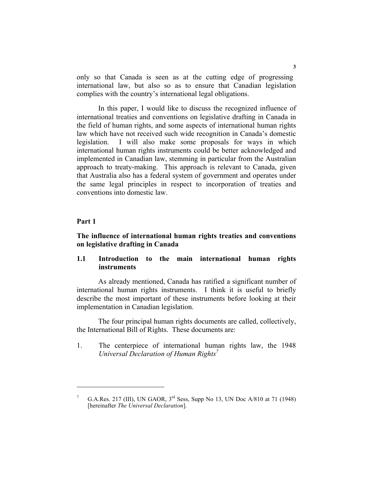only so that Canada is seen as at the cutting edge of progressing international law, but also so as to ensure that Canadian legislation complies with the country's international legal obligations.

 In this paper, I would like to discuss the recognized influence of international treaties and conventions on legislative drafting in Canada in the field of human rights, and some aspects of international human rights law which have not received such wide recognition in Canada's domestic legislation. I will also make some proposals for ways in which international human rights instruments could be better acknowledged and implemented in Canadian law, stemming in particular from the Australian approach to treaty-making. This approach is relevant to Canada, given that Australia also has a federal system of government and operates under the same legal principles in respect to incorporation of treaties and conventions into domestic law.

### **Part 1**

#### **The influence of international human rights treaties and conventions on legislative drafting in Canada**

# **1.1 Introduction to the main international human rights instruments**

 As already mentioned, Canada has ratified a significant number of international human rights instruments. I think it is useful to briefly describe the most important of these instruments before looking at their implementation in Canadian legislation.

 The four principal human rights documents are called, collectively, the International Bill of Rights. These documents are:

1. The centerpiece of international human rights law, the 1948 *Universal Declaration of Human Rights7*

<sup>7</sup> G.A.Res. 217 (III), UN GAOR, 3rd Sess, Supp No 13, UN Doc A/810 at 71 (1948) [hereinafter *The Universal Declaration*].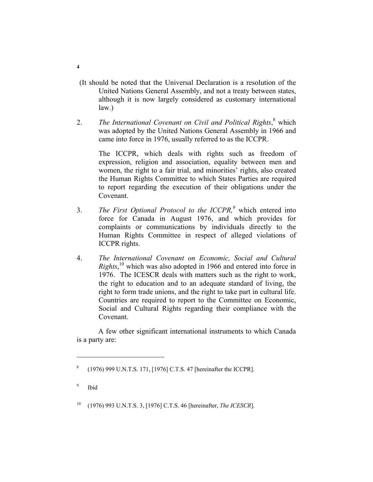- (It should be noted that the Universal Declaration is a resolution of the United Nations General Assembly, and not a treaty between states, although it is now largely considered as customary international law.)
- 2. The International Covenant on Civil and Political Rights, <sup>8</sup> which was adopted by the United Nations General Assembly in 1966 and came into force in 1976, usually referred to as the ICCPR.

The ICCPR, which deals with rights such as freedom of expression, religion and association, equality between men and women, the right to a fair trial, and minorities' rights, also created the Human Rights Committee to which States Parties are required to report regarding the execution of their obligations under the Covenant.

- 3. *The First Optional Protocol to the ICCPR,<sup>9</sup>* which entered into force for Canada in August 1976, and which provides for complaints or communications by individuals directly to the Human Rights Committee in respect of alleged violations of ICCPR rights.
- 4. *The International Covenant on Economic, Social and Cultural Rights*,<sup>10</sup> which was also adopted in 1966 and entered into force in 1976. The ICESCR deals with matters such as the right to work, the right to education and to an adequate standard of living, the right to form trade unions, and the right to take part in cultural life. Countries are required to report to the Committee on Economic, Social and Cultural Rights regarding their compliance with the Covenant.

 A few other significant international instruments to which Canada is a party are:

9 Ibid

10 (1976) 993 U.N.T.S. 3, [1976] C.T.S. 46 [hereinafter, *The ICESCR*].

<sup>8</sup> (1976) 999 U.N.T.S. 171, [1976] C.T.S. 47 [hereinafter the ICCPR].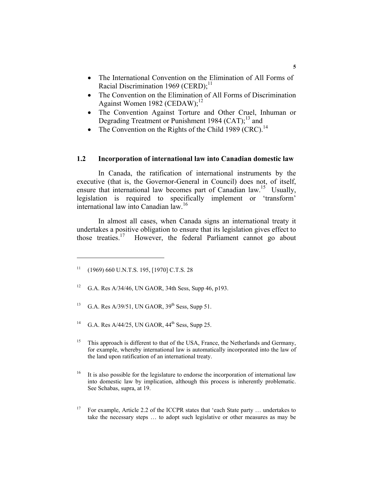- The International Convention on the Elimination of All Forms of Racial Discrimination 1969 (CERD); $^{11}$
- The Convention on the Elimination of All Forms of Discrimination Against Women 1982 (CEDAW);<sup>12</sup>
- The Convention Against Torture and Other Cruel, Inhuman or Degrading Treatment or Punishment 1984 (CAT); $^{13}$  and
- The Convention on the Rights of the Child 1989 (CRC).<sup>14</sup>

# **1.2 Incorporation of international law into Canadian domestic law**

 In Canada, the ratification of international instruments by the executive (that is, the Governor-General in Council) does not, of itself, ensure that international law becomes part of Canadian law.<sup>15</sup> Usually, legislation is required to specifically implement or 'transform' international law into Canadian law.<sup>16</sup>

 In almost all cases, when Canada signs an international treaty it undertakes a positive obligation to ensure that its legislation gives effect to those treaties.<sup>17</sup> However, the federal Parliament cannot go about However, the federal Parliament cannot go about

- 12 G.A. Res A/34/46, UN GAOR, 34th Sess, Supp 46, p193.
- <sup>13</sup> G.A. Res A/39/51, UN GAOR,  $39<sup>th</sup>$  Sess, Supp 51.
- <sup>14</sup> G.A. Res A/44/25, UN GAOR,  $44<sup>th</sup>$  Sess, Supp 25.
- <sup>15</sup> This approach is different to that of the USA, France, the Netherlands and Germany, for example, whereby international law is automatically incorporated into the law of the land upon ratification of an international treaty.

<sup>16</sup> It is also possible for the legislature to endorse the incorporation of international law into domestic law by implication, although this process is inherently problematic. See Schabas, supra, at 19.

<sup>17</sup> For example, Article 2.2 of the ICCPR states that 'each State party ... undertakes to take the necessary steps … to adopt such legislative or other measures as may be

 $11$  (1969) 660 U.N.T.S. 195, [1970] C.T.S. 28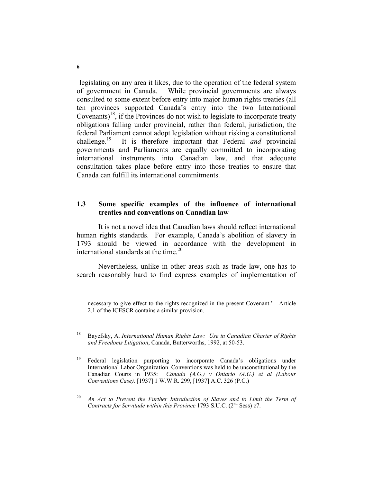legislating on any area it likes, due to the operation of the federal system of government in Canada. While provincial governments are always consulted to some extent before entry into major human rights treaties (all ten provinces supported Canada's entry into the two International Covenants)<sup>18</sup>, if the Provinces do not wish to legislate to incorporate treaty obligations falling under provincial, rather than federal, jurisdiction, the federal Parliament cannot adopt legislation without risking a constitutional challenge.19 It is therefore important that Federal *and* provincial governments and Parliaments are equally committed to incorporating international instruments into Canadian law, and that adequate consultation takes place before entry into those treaties to ensure that Canada can fulfill its international commitments.

# **1.3 Some specific examples of the influence of international treaties and conventions on Canadian law**

 It is not a novel idea that Canadian laws should reflect international human rights standards. For example, Canada's abolition of slavery in 1793 should be viewed in accordance with the development in international standards at the time.<sup>20</sup>

 Nevertheless, unlike in other areas such as trade law, one has to search reasonably hard to find express examples of implementation of

necessary to give effect to the rights recognized in the present Covenant.' Article 2.1 of the ICESCR contains a similar provision.

18 Bayefsky, A. *International Human Rights Law: Use in Canadian Charter of Rights and Freedoms Litigation*, Canada, Butterworths, 1992, at 50-53.

<sup>19</sup> Federal legislation purporting to incorporate Canada's obligations under International Labor Organization Conventions was held to be unconstitutional by the Canadian Courts in 1935: *Canada (A.G.) v Ontario (A.G.) et al (Labour Conventions Case),* [1937] 1 W.W.R. 299, [1937] A.C. 326 (P.C.)

<sup>20</sup> *An Act to Prevent the Further Introduction of Slaves and to Limit the Term of Contracts for Servitude within this Province* 1793 S.U.C. (2<sup>nd</sup> Sess) c7.

**6**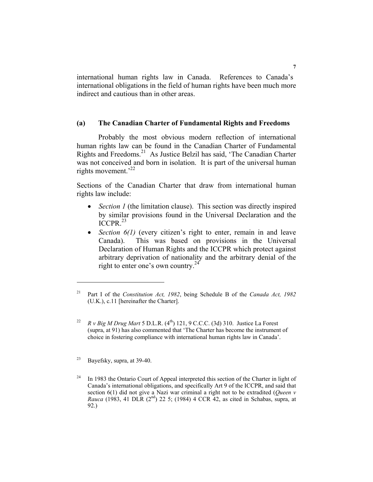international human rights law in Canada. References to Canada's international obligations in the field of human rights have been much more indirect and cautious than in other areas.

#### **(a) The Canadian Charter of Fundamental Rights and Freedoms**

 Probably the most obvious modern reflection of international human rights law can be found in the Canadian Charter of Fundamental Rights and Freedoms.21 As Justice Belzil has said, 'The Canadian Charter was not conceived and born in isolation. It is part of the universal human rights movement.<sup>22</sup>

Sections of the Canadian Charter that draw from international human rights law include:

- *Section 1* (the limitation clause). This section was directly inspired by similar provisions found in the Universal Declaration and the  $ICCPR<sup>23</sup>$
- *Section 6(1)* (every citizen's right to enter, remain in and leave Canada). This was based on provisions in the Universal Declaration of Human Rights and the ICCPR which protect against arbitrary deprivation of nationality and the arbitrary denial of the right to enter one's own country.24

<sup>21</sup> Part I of the *Constitution Act, 1982*, being Schedule B of the *Canada Act, 1982*  (U.K.), c.11 [hereinafter the Charter].

<sup>&</sup>lt;sup>22</sup> *R v Big M Drug Mart* 5 D.L.R.  $(4^{th})$  121, 9 C.C.C. (3d) 310. Justice La Forest (supra, at 91) has also commented that 'The Charter has become the instrument of choice in fostering compliance with international human rights law in Canada'.

<sup>23</sup> Bayefsky, supra, at 39-40.

<sup>&</sup>lt;sup>24</sup> In 1983 the Ontario Court of Appeal interpreted this section of the Charter in light of Canada's international obligations, and specifically Art 9 of the ICCPR, and said that section 6(1) did not give a Nazi war criminal a right not to be extradited (*Queen v Rauca* (1983, 41 DLR (2<sup>nd</sup>) 22 5; (1984) 4 CCR 42, as cited in Schabas, supra, at 92.)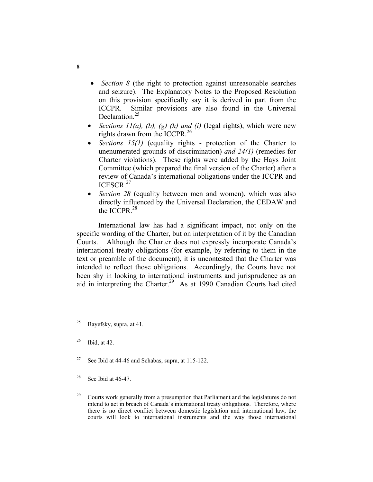- *Section 8* (the right to protection against unreasonable searches and seizure). The Explanatory Notes to the Proposed Resolution on this provision specifically say it is derived in part from the ICCPR. Similar provisions are also found in the Universal Declaration.<sup>25</sup>
- *Sections 11(a), (b), (g) (h) and (i)* (legal rights), which were new rights drawn from the ICCPR.<sup>26</sup>
- *Sections 15(1)* (equality rights protection of the Charter to unenumerated grounds of discrimination) *and 24(1)* (remedies for Charter violations). These rights were added by the Hays Joint Committee (which prepared the final version of the Charter) after a review of Canada's international obligations under the ICCPR and ICESCR.<sup>27</sup>
- *Section 28* (equality between men and women), which was also directly influenced by the Universal Declaration, the CEDAW and the ICCPR $^{28}$

 International law has had a significant impact, not only on the specific wording of the Charter, but on interpretation of it by the Canadian Courts. Although the Charter does not expressly incorporate Canada's international treaty obligations (for example, by referring to them in the text or preamble of the document), it is uncontested that the Charter was intended to reflect those obligations. Accordingly, the Courts have not been shy in looking to international instruments and jurisprudence as an aid in interpreting the Charter.<sup>29</sup> As at 1990 Canadian Courts had cited

 $28$  See Ibid at 46-47.

<sup>&</sup>lt;sup>25</sup> Bayefsky, supra, at 41.

 $26$  Ibid, at 42.

<sup>&</sup>lt;sup>27</sup> See Ibid at 44-46 and Schabas, supra, at  $115-122$ .

<sup>&</sup>lt;sup>29</sup> Courts work generally from a presumption that Parliament and the legislatures do not intend to act in breach of Canada's international treaty obligations. Therefore, where there is no direct conflict between domestic legislation and international law, the courts will look to international instruments and the way those international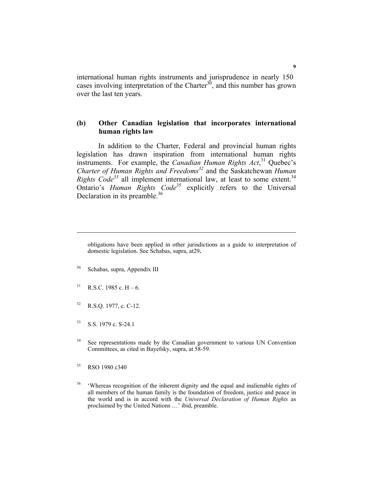international human rights instruments and jurisprudence in nearly 150 cases involving interpretation of the Charter<sup>30</sup>, and this number has grown over the last ten years.

#### **(b) Other Canadian legislation that incorporates international human rights law**

 In addition to the Charter, Federal and provincial human rights legislation has drawn inspiration from international human rights instruments. For example, the *Canadian Human Rights Act*, 31 Quebec's *Charter of Human Rights and Freedoms<sup>32</sup>* and the Saskatchewan *Human Rights Code*<sup>33</sup> all implement international law, at least to some extent.<sup>34</sup> Ontario's *Human Rights Code*<sup>35</sup> explicitly refers to the Universal Declaration in its preamble.<sup>36</sup>

- 30 Schabas, supra, Appendix III
- $31$  R.S.C. 1985 c. H 6.

- 32 R.S.Q. 1977, c. C-12.
- 33 S.S. 1979 c. S-24.1
- <sup>34</sup> See representations made by the Canadian government to various UN Convention Committees, as cited in Bayefsky, supra, at 58-59.
- <sup>35</sup> RSO 1980 c340
- <sup>36</sup> 'Whereas recognition of the inherent dignity and the equal and inalienable rights of all members of the human family is the foundation of freedom, justice and peace in the world and is in accord with the *Universal Declaration of Human Rights* as proclaimed by the United Nations …' ibid, preamble.

obligations have been applied in other jurisdictions as a guide to interpretation of domestic legislation. See Schabas, supra, at29**.**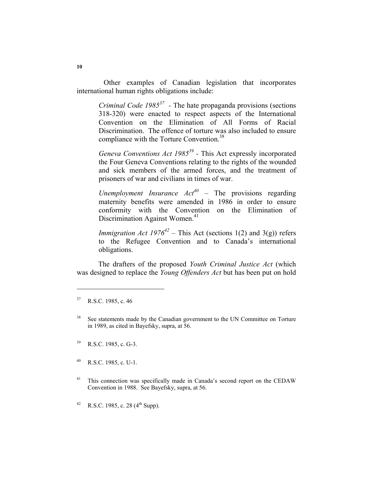Other examples of Canadian legislation that incorporates international human rights obligations include:

*Criminal Code 198537 -* The hate propaganda provisions (sections 318-320) were enacted to respect aspects of the International Convention on the Elimination of All Forms of Racial Discrimination. The offence of torture was also included to ensure compliance with the Torture Convention.<sup>38</sup>

*Geneva Conventions Act 198539 -* This Act expressly incorporated the Four Geneva Conventions relating to the rights of the wounded and sick members of the armed forces, and the treatment of prisoners of war and civilians in times of war.

*Unemployment Insurance Act40* – The provisions regarding maternity benefits were amended in 1986 in order to ensure conformity with the Convention on the Elimination of Discrimination Against Women.<sup>41</sup>

*Immigration Act 1976*<sup>42</sup> – This Act (sections 1(2) and 3(g)) refers to the Refugee Convention and to Canada's international obligations.

 The drafters of the proposed *Youth Criminal Justice Act* (which was designed to replace the *Young Offenders Act* but has been put on hold

- 39 R.S.C. 1985, c. G-3.
- $^{40}$  R.S.C. 1985, c. U-1.
- <sup>41</sup> This connection was specifically made in Canada's second report on the CEDAW Convention in 1988. See Bayefsky, supra, at 56.

42 R.S.C. 1985, c. 28  $(4^{th}$  Supp).

<sup>37</sup> R.S.C. 1985, c. 46

<sup>&</sup>lt;sup>38</sup> See statements made by the Canadian government to the UN Committee on Torture in 1989, as cited in Bayefsky, supra, at 56.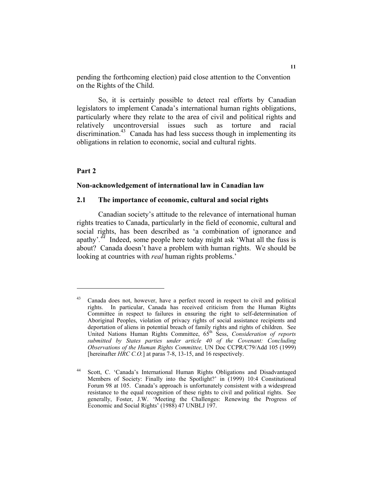pending the forthcoming election) paid close attention to the Convention on the Rights of the Child.

 So, it is certainly possible to detect real efforts by Canadian legislators to implement Canada's international human rights obligations, particularly where they relate to the area of civil and political rights and relatively uncontroversial issues such as torture and racial discrimination.<sup>43</sup> Canada has had less success though in implementing its obligations in relation to economic, social and cultural rights.

### **Part 2**

#### **Non-acknowledgement of international law in Canadian law**

#### **2.1 The importance of economic, cultural and social rights**

 Canadian society's attitude to the relevance of international human rights treaties to Canada, particularly in the field of economic, cultural and social rights, has been described as 'a combination of ignorance and apathy'.<sup>44</sup> Indeed, some people here today might ask 'What all the fuss is about? Canada doesn't have a problem with human rights. We should be looking at countries with *real* human rights problems.'

<sup>&</sup>lt;sup>43</sup> Canada does not, however, have a perfect record in respect to civil and political rights. In particular, Canada has received criticism from the Human Rights Committee in respect to failures in ensuring the right to self-determination of Aboriginal Peoples, violation of privacy rights of social assistance recipients and deportation of aliens in potential breach of family rights and rights of children. See United Nations Human Rights Committee, 65th Sess, *Consideration of reports submitted by States parties under article 40 of the Covenant: Concluding Observations of the Human Rights Committee,* UN Doc CCPR/C79/Add 105 (1999) [hereinafter *HRC C.O.*] at paras 7-8, 13-15, and 16 respectively.

<sup>44</sup> Scott, C. 'Canada's International Human Rights Obligations and Disadvantaged Members of Society: Finally into the Spotlight?' in (1999) 10:4 Constitutional Forum 98 at 105. Canada's approach is unfortunately consistent with a widespread resistance to the equal recognition of these rights to civil and political rights. See generally, Foster, J.W. 'Meeting the Challenges: Renewing the Progress of Economic and Social Rights' (1988) 47 UNBLJ 197.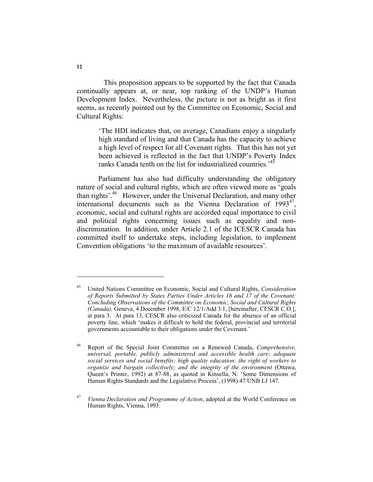This proposition appears to be supported by the fact that Canada continually appears at, or near, top ranking of the UNDP's Human Development Index. Nevertheless, the picture is not as bright as it first seems, as recently pointed out by the Committee on Economic, Social and Cultural Rights:

'The HDI indicates that, on average, Canadians enjoy a singularly high standard of living and that Canada has the capacity to achieve a high level of respect for all Covenant rights. That this has not yet been achieved is reflected in the fact that UNDP's Poverty Index ranks Canada tenth on the list for industrialized countries.<sup>45</sup>

 Parliament has also had difficulty understanding the obligatory nature of social and cultural rights, which are often viewed more as 'goals than rights'.46 However, under the Universal Declaration, and many other international documents such as the Vienna Declaration of  $1993^{47}$ , economic, social and cultural rights are accorded equal importance to civil and political rights concerning issues such as equality and nondiscrimination. In addition, under Article 2.1 of the ICESCR Canada has committed itself to undertake steps, including legislation, to implement Convention obligations 'to the maximum of available resources'.

<sup>45</sup> United Nations Committee on Economic, Social and Cultural Rights, *Consideration of Reports Submitted by States Parties Under Articles 16 and 17 of the Covenant: Concluding Observations of the Committee on Economic, Social and Cultural Rights (Canada),* Geneva, 4 December 1998, E/C 12/1/Add 3.1, [hereinafter, CESCR C.O.], at para 3. At para 13, CESCR also criticized Canada for the absence of an official poverty line, which 'makes it difficult to hold the federal, provincial and territorial governments accountable to their obligations under the Covenant.'

<sup>46</sup> Report of the Special Joint Committee on a Renewed Canada, *Comprehensive, universal, portable, publicly administered and accessible health care; adequate social services and social benefits; high quality education; the right of workers to organize and bargain collectively; and the integrity of the environment* (Ottawa, Queen's Printer, 1992) at 87-88, as quoted in Kinsella, N. 'Some Dimensions of Human Rights Standards and the Legislative Process', (1998) 47 UNB LJ 147.

<sup>47</sup> *Vienna Declaration and Programme of Action*, adopted at the World Conference on Human Rights, Vienna, 1993.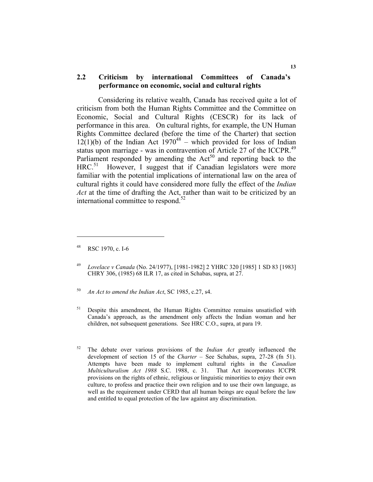# **2.2 Criticism by international Committees of Canada's performance on economic, social and cultural rights**

 Considering its relative wealth, Canada has received quite a lot of criticism from both the Human Rights Committee and the Committee on Economic, Social and Cultural Rights (CESCR) for its lack of performance in this area. On cultural rights, for example, the UN Human Rights Committee declared (before the time of the Charter) that section  $12(1)(b)$  of the Indian Act  $1970^{48}$  – which provided for loss of Indian status upon marriage - was in contravention of Article 27 of the ICCPR.<sup>49</sup> Parliament responded by amending the  $Act<sup>50</sup>$  and reporting back to the HRC.<sup>51</sup> However, I suggest that if Canadian legislators were more familiar with the potential implications of international law on the area of cultural rights it could have considered more fully the effect of the *Indian Act* at the time of drafting the Act, rather than wait to be criticized by an international committee to respond. $52$ 

<sup>48</sup> RSC 1970, c. I-6

<sup>49</sup> *Lovelace v Canada* (No. 24/1977), [1981-1982] 2 YHRC 320 [1985] 1 SD 83 [1983] CHRY 306, (1985) 68 ILR 17, as cited in Schabas, supra, at 27.

<sup>50</sup> *An Act to amend the Indian Act*, SC 1985, c.27, s4.

<sup>&</sup>lt;sup>51</sup> Despite this amendment, the Human Rights Committee remains unsatisfied with Canada's approach, as the amendment only affects the Indian woman and her children, not subsequent generations. See HRC C.O., supra, at para 19.

<sup>52</sup> The debate over various provisions of the *Indian Act* greatly influenced the development of section 15 of the *Charter –* See Schabas, supra, 27-28 (fn 51). Attempts have been made to implement cultural rights in the *Canadian Multiculturalism Act 1988* S.C. 1988, c. 31. That Act incorporates ICCPR provisions on the rights of ethnic, religious or linguistic minorities to enjoy their own culture, to profess and practice their own religion and to use their own language, as well as the requirement under CERD that all human beings are equal before the law and entitled to equal protection of the law against any discrimination.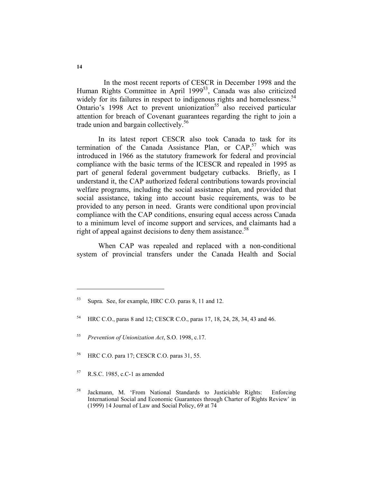In the most recent reports of CESCR in December 1998 and the Human Rights Committee in April 1999<sup>53</sup>, Canada was also criticized widely for its failures in respect to indigenous rights and homelessness.<sup>54</sup> Ontario's 1998 Act to prevent unionization<sup>55</sup> also received particular attention for breach of Covenant guarantees regarding the right to join a trade union and bargain collectively.<sup>56</sup>

 In its latest report CESCR also took Canada to task for its termination of the Canada Assistance Plan, or  $CAP<sub>2</sub><sup>57</sup>$  which was introduced in 1966 as the statutory framework for federal and provincial compliance with the basic terms of the ICESCR and repealed in 1995 as part of general federal government budgetary cutbacks. Briefly, as I understand it, the CAP authorized federal contributions towards provincial welfare programs, including the social assistance plan, and provided that social assistance, taking into account basic requirements, was to be provided to any person in need. Grants were conditional upon provincial compliance with the CAP conditions, ensuring equal access across Canada to a minimum level of income support and services, and claimants had a right of appeal against decisions to deny them assistance.<sup>58</sup>

 When CAP was repealed and replaced with a non-conditional system of provincial transfers under the Canada Health and Social

- 56 HRC C.O. para 17; CESCR C.O. paras 31, 55.
- $57$  R.S.C. 1985, c.C-1 as amended

<sup>53</sup> Supra. See, for example, HRC C.O. paras 8, 11 and 12.

<sup>54</sup> HRC C.O., paras 8 and 12; CESCR C.O., paras 17, 18, 24, 28, 34, 43 and 46.

<sup>55</sup> *Prevention of Unionization Act*, S.O. 1998, c.17.

<sup>58</sup> Jackmann, M. 'From National Standards to Justiciable Rights: Enforcing International Social and Economic Guarantees through Charter of Rights Review' in (1999) 14 Journal of Law and Social Policy, 69 at 74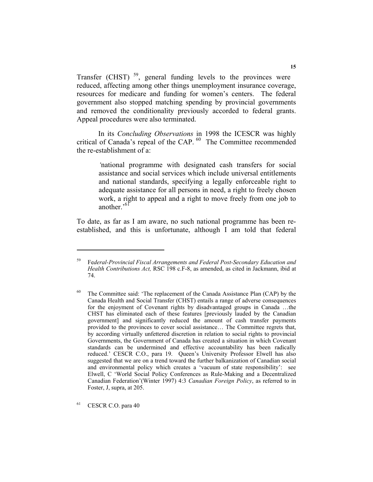Transfer (CHST)<sup>59</sup>, general funding levels to the provinces were reduced, affecting among other things unemployment insurance coverage, resources for medicare and funding for women's centers. The federal government also stopped matching spending by provincial governments and removed the conditionality previously accorded to federal grants. Appeal procedures were also terminated.

 In its *Concluding Observations* in 1998 the ICESCR was highly critical of Canada's repeal of the CAP.<sup>60</sup> The Committee recommended the re-establishment of a:

*'*national programme with designated cash transfers for social assistance and social services which include universal entitlements and national standards, specifying a legally enforceable right to adequate assistance for all persons in need, a right to freely chosen work, a right to appeal and a right to move freely from one job to another<sup>, $61$ </sup>

To date, as far as I am aware, no such national programme has been reestablished, and this is unfortunate, although I am told that federal

61 CESCR C.O. para 40

<sup>59</sup> Fe*deral-Provincial Fiscal Arrangements and Federal Post-Secondary Education and Health Contributions Act,* RSC 198 c.F-8, as amended, as cited in Jackmann, ibid at 74.

 $60$  The Committee said: 'The replacement of the Canada Assistance Plan (CAP) by the Canada Health and Social Transfer (CHST) entails a range of adverse consequences for the enjoyment of Covenant rights by disadvantaged groups in Canada …the CHST has eliminated each of these features [previously lauded by the Canadian government] and significantly reduced the amount of cash transfer payments provided to the provinces to cover social assistance… The Committee regrets that, by according virtually unfettered discretion in relation to social rights to provincial Governments, the Government of Canada has created a situation in which Covenant standards can be undermined and effective accountability has been radically reduced.' CESCR C.O., para 19.Queen's University Professor Elwell has also suggested that we are on a trend toward the further balkanization of Canadian social and environmental policy which creates a 'vacuum of state responsibility': see Elwell, C 'World Social Policy Conferences as Rule-Making and a Decentralized Canadian Federation'(Winter 1997) 4:3 *Canadian Foreign Policy*, as referred to in Foster, J, supra, at 205.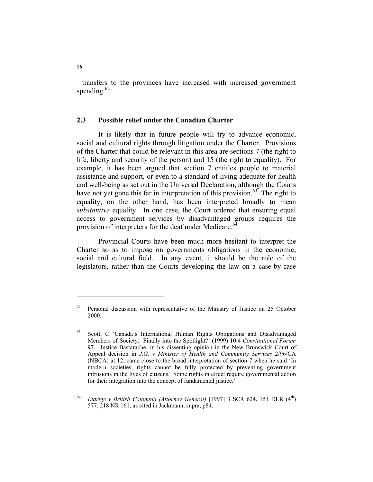transfers to the provinces have increased with increased government spending. $62$ 

#### **2.3 Possible relief under the Canadian Charter**

 It is likely that in future people will try to advance economic, social and cultural rights through litigation under the Charter. Provisions of the Charter that could be relevant in this area are sections 7 (the right to life, liberty and security of the person) and 15 (the right to equality). For example, it has been argued that section 7 entitles people to material assistance and support, or even to a standard of living adequate for health and well-being as set out in the Universal Declaration, although the Courts have not yet gone this far in interpretation of this provision.<sup>63</sup> The right to equality, on the other hand, has been interpreted broadly to mean *substantive* equality. In one case, the Court ordered that ensuring equal access to government services by disadvantaged groups requires the provision of interpreters for the deaf under Medicare.<sup>64</sup>

 Provincial Courts have been much more hesitant to interpret the Charter so as to impose on governments obligations in the economic, social and cultural field. In any event, it should be the role of the legislators, rather than the Courts developing the law on a case-by-case

Personal discussion with representative of the Ministry of Justice on 25 October 2000.

<sup>63</sup> Scott, C 'Canada's International Human Rights Obligations and Disadvantaged Members of Society: Finally into the Spotlight?' (1999) 10:4 *Constitutional Forum* 97. Justice Bastarache, in his dissenting opinion in the New Brunswick Court of Appeal decision in *J.G. v Minister of Health and Community Services* 2/96/CA (NBCA) at 12, came close to the broad interpretation of section 7 when he said 'In modern societies, rights cannot be fully protected by preventing government intrusions in the lives of citizens. Some rights in effect require governmental action for their integration into the concept of fundamental justice.'

<sup>&</sup>lt;sup>64</sup> *Eldrige v British Colombia (Attorney General)* [1997] 3 SCR 624, 151 DLR (4<sup>th</sup>) 577, 218 NR 161, as cited in Jackmann, supra, p84.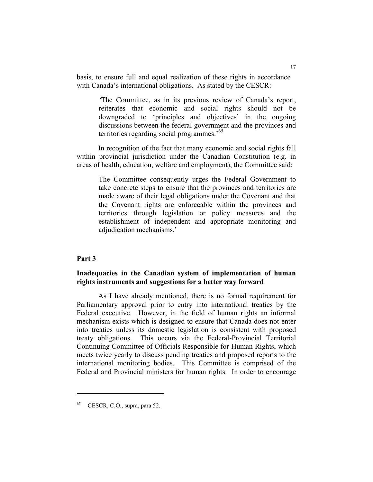basis, to ensure full and equal realization of these rights in accordance with Canada's international obligations. As stated by the CESCR:

*'*The Committee, as in its previous review of Canada's report, reiterates that economic and social rights should not be downgraded to 'principles and objectives' in the ongoing discussions between the federal government and the provinces and territories regarding social programmes.'65

 In recognition of the fact that many economic and social rights fall within provincial jurisdiction under the Canadian Constitution (e.g. in areas of health, education, welfare and employment), the Committee said:

The Committee consequently urges the Federal Government to take concrete steps to ensure that the provinces and territories are made aware of their legal obligations under the Covenant and that the Covenant rights are enforceable within the provinces and territories through legislation or policy measures and the establishment of independent and appropriate monitoring and adjudication mechanisms.'

# **Part 3**

### **Inadequacies in the Canadian system of implementation of human rights instruments and suggestions for a better way forward**

 As I have already mentioned, there is no formal requirement for Parliamentary approval prior to entry into international treaties by the Federal executive. However, in the field of human rights an informal mechanism exists which is designed to ensure that Canada does not enter into treaties unless its domestic legislation is consistent with proposed treaty obligations. This occurs via the Federal-Provincial Territorial Continuing Committee of Officials Responsible for Human Rights, which meets twice yearly to discuss pending treaties and proposed reports to the international monitoring bodies. This Committee is comprised of the Federal and Provincial ministers for human rights. In order to encourage

<sup>65</sup> CESCR, C.O., supra, para 52.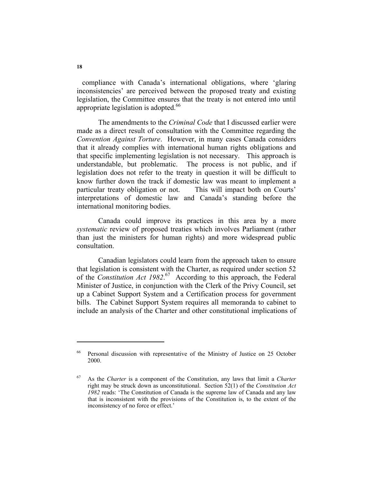compliance with Canada's international obligations, where 'glaring inconsistencies' are perceived between the proposed treaty and existing legislation, the Committee ensures that the treaty is not entered into until appropriate legislation is adopted. $66$ 

 The amendments to the *Criminal Code* that I discussed earlier were made as a direct result of consultation with the Committee regarding the *Convention Against Torture*. However, in many cases Canada considers that it already complies with international human rights obligations and that specific implementing legislation is not necessary. This approach is understandable, but problematic. The process is not public, and if legislation does not refer to the treaty in question it will be difficult to know further down the track if domestic law was meant to implement a particular treaty obligation or not. This will impact both on Courts' interpretations of domestic law and Canada's standing before the international monitoring bodies.

 Canada could improve its practices in this area by a more *systematic* review of proposed treaties which involves Parliament (rather than just the ministers for human rights) and more widespread public consultation.

 Canadian legislators could learn from the approach taken to ensure that legislation is consistent with the Charter, as required under section 52 of the *Constitution Act 1982*. 67 According to this approach, the Federal Minister of Justice, in conjunction with the Clerk of the Privy Council, set up a Cabinet Support System and a Certification process for government bills. The Cabinet Support System requires all memoranda to cabinet to include an analysis of the Charter and other constitutional implications of

<sup>66</sup> Personal discussion with representative of the Ministry of Justice on 25 October 2000.

<sup>67</sup> As the *Charter* is a component of the Constitution, any laws that limit a *Charter* right may be struck down as unconstitutional. Section 52(1) of the *Constitution Act 1982* reads: 'The Constitution of Canada is the supreme law of Canada and any law that is inconsistent with the provisions of the Constitution is, to the extent of the inconsistency of no force or effect.'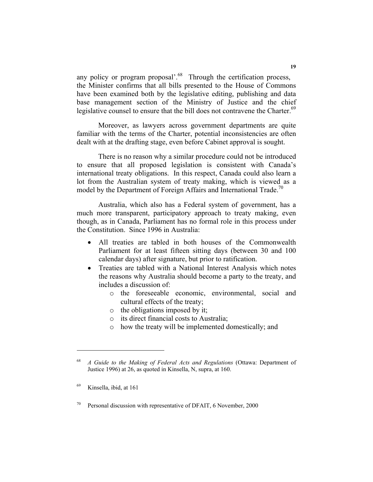any policy or program proposal<sup>'.68</sup> Through the certification process, the Minister confirms that all bills presented to the House of Commons have been examined both by the legislative editing, publishing and data base management section of the Ministry of Justice and the chief legislative counsel to ensure that the bill does not contravene the Charter.<sup>69</sup>

 Moreover, as lawyers across government departments are quite familiar with the terms of the Charter, potential inconsistencies are often dealt with at the drafting stage, even before Cabinet approval is sought.

 There is no reason why a similar procedure could not be introduced to ensure that all proposed legislation is consistent with Canada's international treaty obligations. In this respect, Canada could also learn a lot from the Australian system of treaty making, which is viewed as a model by the Department of Foreign Affairs and International Trade.<sup>70</sup>

 Australia, which also has a Federal system of government, has a much more transparent, participatory approach to treaty making, even though, as in Canada, Parliament has no formal role in this process under the Constitution. Since 1996 in Australia:

- All treaties are tabled in both houses of the Commonwealth Parliament for at least fifteen sitting days (between 30 and 100 calendar days) after signature, but prior to ratification.
- Treaties are tabled with a National Interest Analysis which notes the reasons why Australia should become a party to the treaty, and includes a discussion of:
	- o the foreseeable economic, environmental, social and cultural effects of the treaty;
	- o the obligations imposed by it;
	- o its direct financial costs to Australia;
	- o how the treaty will be implemented domestically; and

<sup>68</sup> *A Guide to the Making of Federal Acts and Regulations* (Ottawa: Department of Justice 1996) at 26, as quoted in Kinsella, N, supra, at 160.

Kinsella, ibid, at 161

<sup>&</sup>lt;sup>70</sup> Personal discussion with representative of DFAIT, 6 November, 2000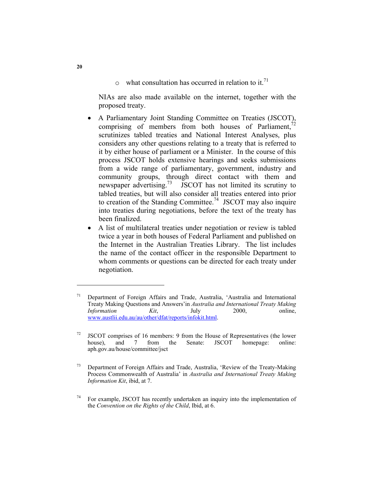$\circ$  what consultation has occurred in relation to it.<sup>71</sup>

NIAs are also made available on the internet, together with the proposed treaty.

- A Parliamentary Joint Standing Committee on Treaties (JSCOT), comprising of members from both houses of Parliament, $\overline{1}$ scrutinizes tabled treaties and National Interest Analyses, plus considers any other questions relating to a treaty that is referred to it by either house of parliament or a Minister. In the course of this process JSCOT holds extensive hearings and seeks submissions from a wide range of parliamentary, government, industry and community groups, through direct contact with them and newspaper advertising.<sup>73</sup> JSCOT has not limited its scrutiny to tabled treaties, but will also consider all treaties entered into prior to creation of the Standing Committee.<sup>74</sup> JSCOT may also inquire into treaties during negotiations, before the text of the treaty has been finalized.
- A list of multilateral treaties under negotiation or review is tabled twice a year in both houses of Federal Parliament and published on the Internet in the Australian Treaties Library. The list includes the name of the contact officer in the responsible Department to whom comments or questions can be directed for each treaty under negotiation.

<sup>71</sup> Department of Foreign Affairs and Trade, Australia, 'Australia and International Treaty Making Questions and Answers'in *Australia and International Treaty Making Information Kit*, July 2000, www.austlii.edu.au/au/other/dfat/reports/infokit.html.

<sup>&</sup>lt;sup>72</sup> JSCOT comprises of 16 members: 9 from the House of Representatives (the lower house), and 7 from the Senate: JSCOT homepage: online: aph.gov.au/house/committee/jsct

<sup>73</sup> Department of Foreign Affairs and Trade, Australia, 'Review of the Treaty-Making Process Commonwealth of Australia' in *Australia and International Treaty Making Information Kit*, ibid, at 7.

 $74$  For example, JSCOT has recently undertaken an inquiry into the implementation of the *Convention on the Rights of the Child*, Ibid, at 6.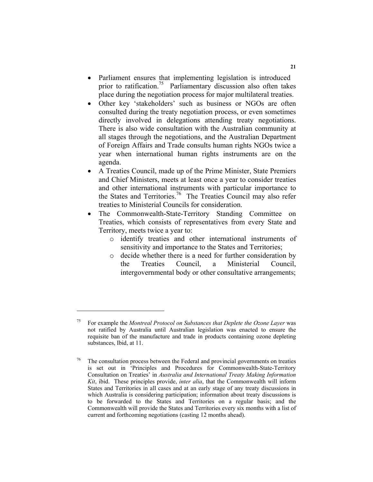- Parliament ensures that implementing legislation is introduced prior to ratification.<sup>75</sup> Parliamentary discussion also often takes place during the negotiation process for major multilateral treaties.
- Other key 'stakeholders' such as business or NGOs are often consulted during the treaty negotiation process, or even sometimes directly involved in delegations attending treaty negotiations. There is also wide consultation with the Australian community at all stages through the negotiations, and the Australian Department of Foreign Affairs and Trade consults human rights NGOs twice a year when international human rights instruments are on the agenda.
- A Treaties Council, made up of the Prime Minister, State Premiers and Chief Ministers, meets at least once a year to consider treaties and other international instruments with particular importance to the States and Territories.76 The Treaties Council may also refer treaties to Ministerial Councils for consideration.
- The Commonwealth-State-Territory Standing Committee on Treaties, which consists of representatives from every State and Territory, meets twice a year to:
	- o identify treaties and other international instruments of sensitivity and importance to the States and Territories;
	- o decide whether there is a need for further consideration by the Treaties Council, a Ministerial Council, intergovernmental body or other consultative arrangements;

<sup>75</sup> For example the *Montreal Protocol on Substances that Deplete the Ozone Layer* was not ratified by Australia until Australian legislation was enacted to ensure the requisite ban of the manufacture and trade in products containing ozone depleting substances, Ibid, at 11.

 $76$  The consultation process between the Federal and provincial governments on treaties is set out in 'Principles and Procedures for Commonwealth-State-Territory Consultation on Treaties' in *Australia and International Treaty Making Information Kit*, ibid. These principles provide, *inter alia*, that the Commonwealth will inform States and Territories in all cases and at an early stage of any treaty discussions in which Australia is considering participation; information about treaty discussions is to be forwarded to the States and Territories on a regular basis; and the Commonwealth will provide the States and Territories every six months with a list of current and forthcoming negotiations (casting 12 months ahead).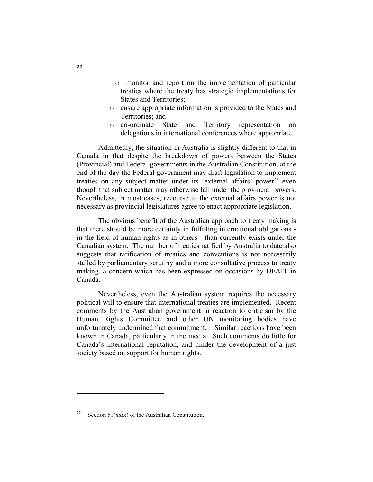- o monitor and report on the implementation of particular treaties where the treaty has strategic implementations for States and Territories;
- o ensure appropriate information is provided to the States and Territories; and
- o co-ordinate State and Territory representation on delegations in international conferences where appropriate.

 Admittedly, the situation in Australia is slightly different to that in Canada in that despite the breakdown of powers between the States (Provincial) and Federal governments in the Australian Constitution, at the end of the day the Federal government may draft legislation to implement treaties on any subject matter under its 'external affairs' power<sup>77</sup> even though that subject matter may otherwise fall under the provincial powers. Nevertheless, in most cases, recourse to the external affairs power is not necessary as provincial legislatures agree to enact appropriate legislation.

 The obvious benefit of the Australian approach to treaty making is that there should be more certainty in fulfilling international obligations in the field of human rights as in others - than currently exists under the Canadian system. The number of treaties ratified by Australia to date also suggests that ratification of treaties and conventions is not necessarily stalled by parliamentary scrutiny and a more consultative process to treaty making, a concern which has been expressed on occasions by DFAIT in Canada.

 Nevertheless, even the Australian system requires the necessary political will to ensure that international treaties are implemented. Recent comments by the Australian government in reaction to criticism by the Human Rights Committee and other UN monitoring bodies have unfortunately undermined that commitment. Similar reactions have been known in Canada, particularly in the media. Such comments do little for Canada's international reputation, and hinder the development of a just society based on support for human rights.

<sup>&</sup>lt;sup>77</sup> Section 51(xxix) of the Australian Constitution.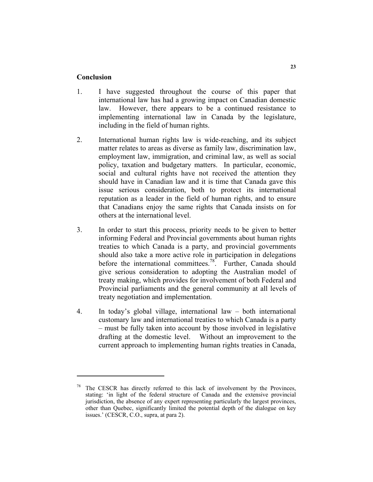#### **Conclusion**

- 1. I have suggested throughout the course of this paper that international law has had a growing impact on Canadian domestic law. However, there appears to be a continued resistance to implementing international law in Canada by the legislature, including in the field of human rights.
- 2. International human rights law is wide-reaching, and its subject matter relates to areas as diverse as family law, discrimination law, employment law, immigration, and criminal law, as well as social policy, taxation and budgetary matters. In particular, economic, social and cultural rights have not received the attention they should have in Canadian law and it is time that Canada gave this issue serious consideration, both to protect its international reputation as a leader in the field of human rights, and to ensure that Canadians enjoy the same rights that Canada insists on for others at the international level.
- 3. In order to start this process, priority needs to be given to better informing Federal and Provincial governments about human rights treaties to which Canada is a party, and provincial governments should also take a more active role in participation in delegations before the international committees.<sup>78</sup>. Further, Canada should give serious consideration to adopting the Australian model of treaty making, which provides for involvement of both Federal and Provincial parliaments and the general community at all levels of treaty negotiation and implementation.
- 4. In today's global village, international law both international customary law and international treaties to which Canada is a party – must be fully taken into account by those involved in legislative drafting at the domestic level. Without an improvement to the current approach to implementing human rights treaties in Canada,

The CESCR has directly referred to this lack of involvement by the Provinces, stating: 'in light of the federal structure of Canada and the extensive provincial jurisdiction, the absence of any expert representing particularly the largest provinces, other than Quebec, significantly limited the potential depth of the dialogue on key issues.' (CESCR, C.O., supra, at para 2).